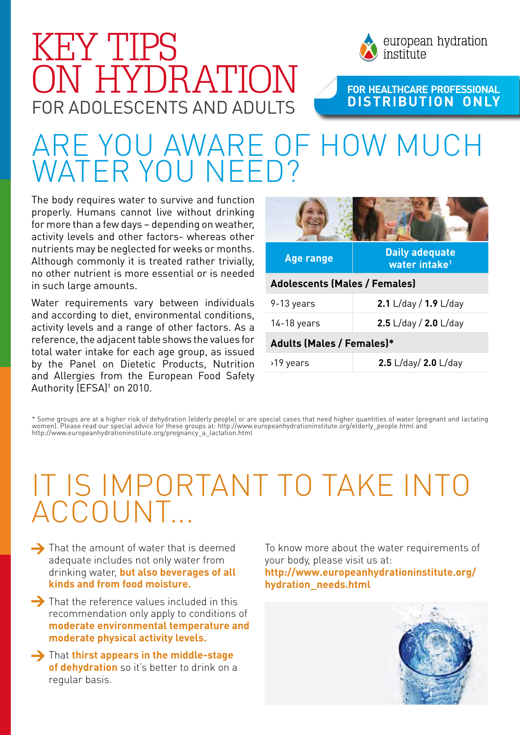

# for adolescents and adults KEY TIPS ON HYDRATION

**For HeaLthcare Professional distribution only**

# Are you aware of how much VATER YOU NFF

The body requires water to survive and function properly. Humans cannot live without drinking for more than a few days – depending on weather, activity levels and other factors- whereas other nutrients may be neglected for weeks or months. Although commonly it is treated rather trivially, no other nutrient is more essential or is needed in such large amounts.

Water requirements vary between individuals and according to diet, environmental conditions, activity levels and a range of other factors. As a reference, the adjacent table shows the values for total water intake for each age group, as issued by the Panel on Dietetic Products, Nutrition and Allergies from the European Food Safety Authority (EFSA)<sup>1</sup> on 2010.

| <b>Age range</b>                     | <b>Daily adequate</b><br>water intake <sup>1</sup> |  |
|--------------------------------------|----------------------------------------------------|--|
| <b>Adolescents (Males / Females)</b> |                                                    |  |
| 9-13 years                           | 2.1 L/day / $1.9$ L/day                            |  |
| $14-18$ years                        | 2.5 L/day / 2.0 L/day                              |  |
| <b>Adults (Males / Females)*</b>     |                                                    |  |
| >19 years                            | 2.5 L/day/ 2.0 L/day                               |  |

\* Some groups are at a higher risk of dehydration (elderly people) or are special cases that need higher quantities of water (pregnant and lactating women). Please read our special advice for these groups at: http://www.europeanhydrationinstitute.org/elderly\_people.html and http://www.europeanhydrationinstitute.org/pregnancy\_a\_lactation.html

## It is important to take into **ACCOUNT**

- $\rightarrow$  That the amount of water that is deemed adequate includes not only water from drinking water, **but also beverages of all kinds and from food moisture.**
- $\rightarrow$  That the reference values included in this recommendation only apply to conditions of **moderate environmental temperature and moderate physical activity levels.**
- **→** That **thirst appears in the middle-stage of dehydration** so it's better to drink on a regular basis.

To know more about the water requirements of your body, please visit us at:

**http://www.europeanhydrationinstitute.org/ hydration\_needs.html**